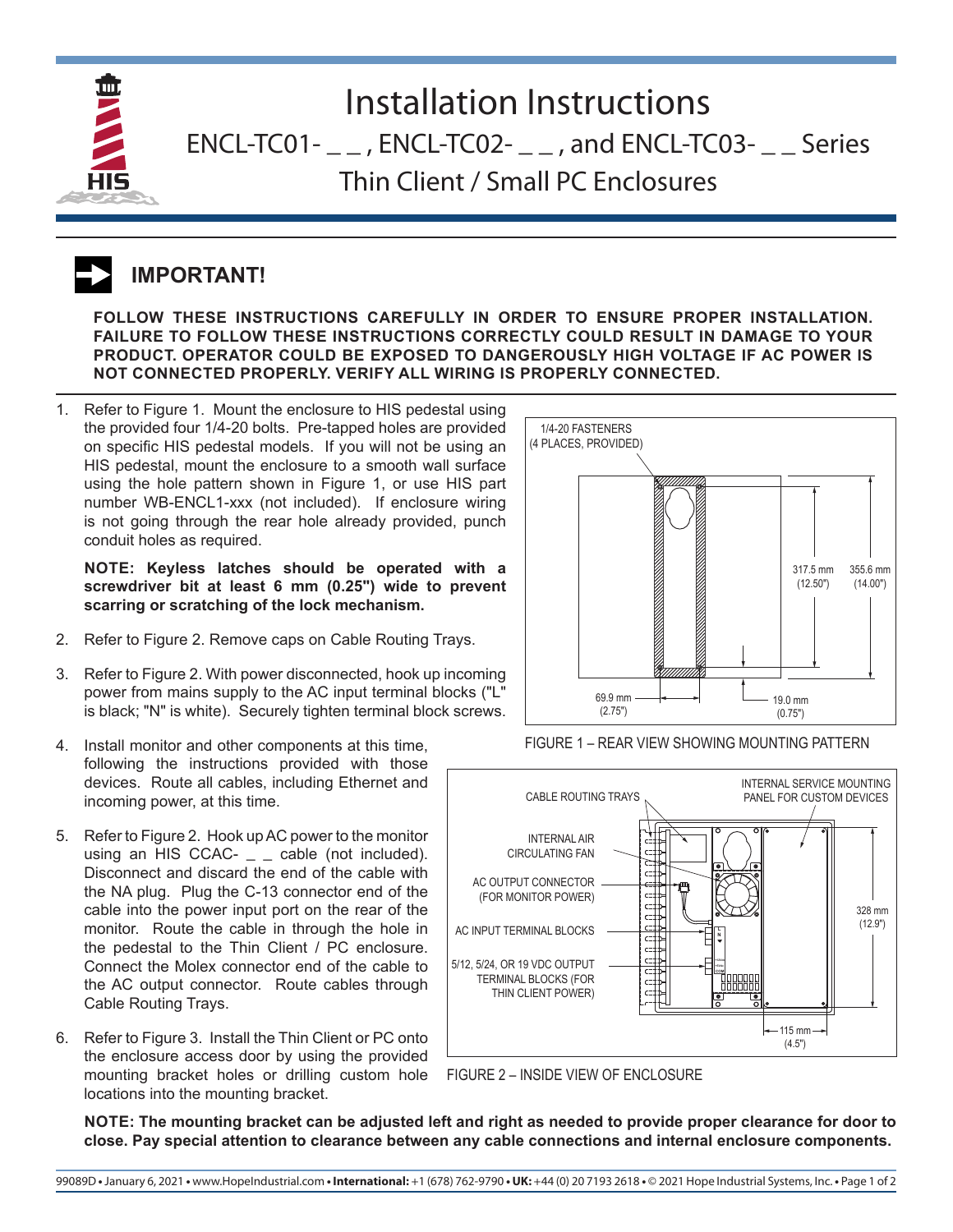



**FOLLOW THESE INSTRUCTIONS CAREFULLY IN ORDER TO ENSURE PROPER INSTALLATION. FAILURE TO FOLLOW THESE INSTRUCTIONS CORRECTLY COULD RESULT IN DAMAGE TO YOUR PRODUCT. OPERATOR COULD BE EXPOSED TO DANGEROUSLY HIGH VOLTAGE IF AC POWER IS NOT CONNECTED PROPERLY. VERIFY ALL WIRING IS PROPERLY CONNECTED.** 

1. Refer to Figure 1. Mount the enclosure to HIS pedestal using the provided four 1/4-20 bolts. Pre-tapped holes are provided on specific HIS pedestal models. If you will not be using an HIS pedestal, mount the enclosure to a smooth wall surface using the hole pattern shown in Figure 1, or use HIS part number WB-ENCL1-xxx (not included). If enclosure wiring is not going through the rear hole already provided, punch conduit holes as required.

**NOTE: Keyless latches should be operated with a screwdriver bit at least 6 mm (0.25") wide to prevent scarring or scratching of the lock mechanism.**

- <span id="page-0-0"></span>2. Refer to Figure 2. Remove caps on Cable Routing Trays.
- 3. Refer to Figure 2. With power disconnected, hook up incoming power from mains supply to the AC input terminal blocks ("L" is black; "N" is white). Securely tighten terminal block screws.
- 4. Install monitor and other components at this time, following the instructions provided with those devices. Route all cables, including Ethernet and incoming power, at this time.
- 5. Refer to Figure 2. Hook up AC power to the monitor using an HIS CCAC- $\_$   $\_$  cable (not included). Disconnect and discard the end of the cable with the NA plug. Plug the C-13 connector end of the cable into the power input port on the rear of the monitor. Route the cable in through the hole in the pedestal to the Thin Client / PC enclosure. Connect the Molex connector end of the cable to the AC output connector. Route cables through Cable Routing Trays.
- 6. Refer to Figure 3. Install the Thin Client or PC onto the enclosure access door by using the provided mounting bracket holes or drilling custom hole locations into the mounting bracket.









**NOTE: The mounting bracket can be adjusted left and right as needed to provide proper clearance for door to close. Pay special attention to clearance between any cable connections and internal enclosure components.**